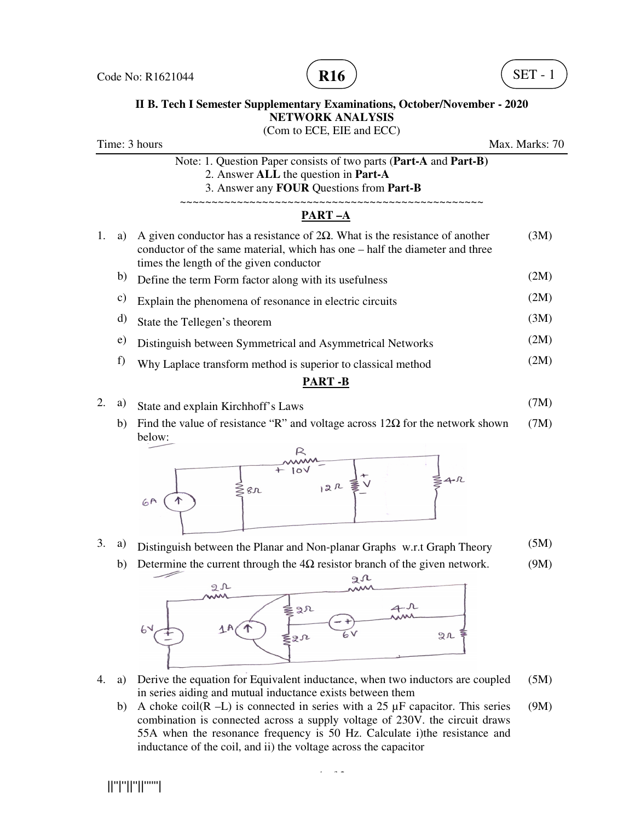



## **II B. Tech I Semester Supplementary Examinations, October/November II B. Tech I Semester Supplementary Examinations, NETWORK ANALYSIS II Supplementary Examinations, October/November - 2020**

Time: 3 hours Note: 1. Question Paper consists of two parts (Part-A and Part-B) 2. Answer **ALL** the question in **Part-A** 3. Answer any 3. Answer any **FOUR** Questions from **Part-B** ~~~~~~~~~~~~~~~~~~~~~~~~~~~~~~~~~~  $\overrightarrow{PART-A}$ <br>1. a) A given conductor has a resistance of 2 $\Omega$ . What is the resistance of another A given conductor has a resistance of  $2\Omega$ . What is the resistance of another (3M) conductor of the same material, which has one – half the diameter and three times the length of the given conductor times the length of the given conductor<br>b) Define the term Form factor along with its usefulness c) Explain the phenomena of resonance in electric circuits d) State the Tellegen's theorem e) Distinguish between Symmetrical and Asymmetrical Networks F) Explain the phenomena of resonance in electric circuits<br>
a) State the Tellegen's theorem<br>
e) Distinguish between Symmetrical and Asymmetrical Networks<br>
f) Why Laplace transform method is superior to classical method (Com to ECE, EIE and ECC) ~~~~~~~~~~~~~~~~~~~~~~~~~~~~~~~~~~~ **PART –A**  Max. Marks: 70 (2M) (2M) (3M) (2M) (2M)

## **PART -B**

- 2. a) State and explain Kirchhoff's Laws (7M)
	- <sup>a)</sup> State and explain Kirchhoff's Laws (1M)<br>b) Find the value of resistance "R" and voltage across 12Ω for the network shown (7M) below:



## 3. a) Distinguish between the Planar and Non-planar Graphs w.r.t Graph Theory (5M)

b) Determine the current through the  $4\Omega$  resistor branch of the given network. (9M)



- 4. a) Derive the equation for Equivalent inductance, when two inductors are coupled (5M) in series aiding and mutual inductance exists between them
	- b) A choke coil(R –L) is connected in series with a 25  $\mu$ F capacitor. This series combination is connected across a supply voltage of 230V. the circuit draws 55A when the resonance frequency is 50 Hz. Calculate i) the resistance and inductance of the coil, and ii) the voltage across the capacitor<br>inductance of the coil, and ii) the voltage across the capacitor in series aiding and mutual inductance exists between them<br>A choke coil(R -L) is connected in series with a 25  $\mu$ F capacitor. This series (9M)<br>combination is connected across a supply voltage of 230V. the circuit draws<br>